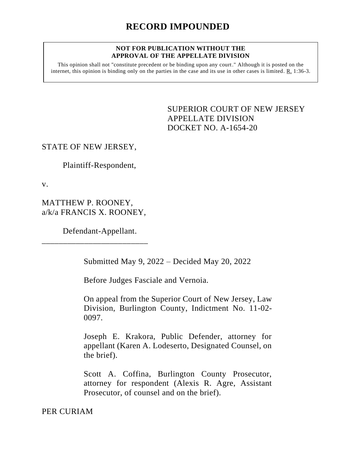#### **NOT FOR PUBLICATION WITHOUT THE APPROVAL OF THE APPELLATE DIVISION**

This opinion shall not "constitute precedent or be binding upon any court." Although it is posted on the internet, this opinion is binding only on the parties in the case and its use in other cases is limited. R. 1:36-3.

> <span id="page-0-0"></span>SUPERIOR COURT OF NEW JERSEY APPELLATE DIVISION DOCKET NO. A-1654-20

## STATE OF NEW JERSEY,

Plaintiff-Respondent,

v.

MATTHEW P. ROONEY, a/k/a FRANCIS X. ROONEY,

\_\_\_\_\_\_\_\_\_\_\_\_\_\_\_\_\_\_\_\_\_\_\_\_\_

Defendant-Appellant.

Submitted May 9, 2022 – Decided May 20, 2022

Before Judges Fasciale and Vernoia.

On appeal from the Superior Court of New Jersey, Law Division, Burlington County, Indictment No. 11-02- 0097.

Joseph E. Krakora, Public Defender, attorney for appellant (Karen A. Lodeserto, Designated Counsel, on the brief).

Scott A. Coffina, Burlington County Prosecutor, attorney for respondent (Alexis R. Agre, Assistant Prosecutor, of counsel and on the brief).

PER CURIAM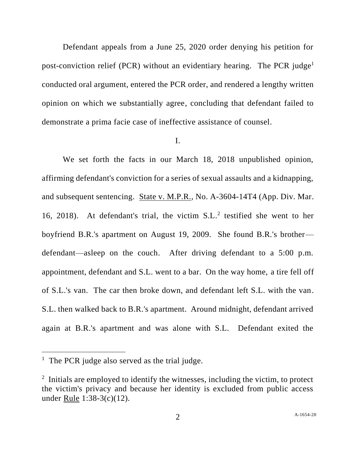Defendant appeals from a June 25, 2020 order denying his petition for post-conviction relief (PCR) without an evidentiary hearing. The PCR judge<sup>1</sup> conducted oral argument, entered the PCR order, and rendered a lengthy written opinion on which we substantially agree, concluding that defendant failed to demonstrate a prima facie case of ineffective assistance of counsel.

#### I.

We set forth the facts in our March 18, 2018 unpublished opinion, affirming defendant's conviction for a series of sexual assaults and a kidnapping, and subsequent sentencing. State v. M.P.R., No. A-3604-14T4 (App. Div. Mar. 16, 2018). At defendant's trial, the victim S.L.<sup>2</sup> testified she went to her boyfriend B.R.'s apartment on August 19, 2009. She found B.R.'s brother defendant—asleep on the couch. After driving defendant to a 5:00 p.m. appointment, defendant and S.L. went to a bar. On the way home, a tire fell off of S.L.'s van. The car then broke down, and defendant left S.L. with the van. S.L. then walked back to B.R.'s apartment. Around midnight, defendant arrived again at B.R.'s apartment and was alone with S.L. Defendant exited the

<sup>&</sup>lt;sup>1</sup> The PCR judge also served as the trial judge.

 $2$  Initials are employed to identify the witnesses, including the victim, to protect the victim's privacy and because her identity is excluded from public access under Rule 1:38-3(c)(12).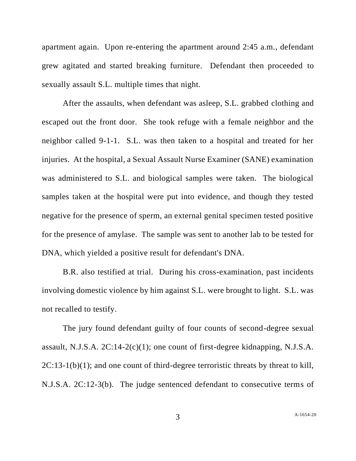apartment again. Upon re-entering the apartment around 2:45 a.m., defendant grew agitated and started breaking furniture. Defendant then proceeded to sexually assault S.L. multiple times that night.

After the assaults, when defendant was asleep, S.L. grabbed clothing and escaped out the front door. She took refuge with a female neighbor and the neighbor called 9-1-1. S.L. was then taken to a hospital and treated for her injuries. At the hospital, a Sexual Assault Nurse Examiner (SANE) examination was administered to S.L. and biological samples were taken. The biological samples taken at the hospital were put into evidence, and though they tested negative for the presence of sperm, an external genital specimen tested positive for the presence of amylase. The sample was sent to another lab to be tested for DNA, which yielded a positive result for defendant's DNA.

B.R. also testified at trial. During his cross-examination, past incidents involving domestic violence by him against S.L. were brought to light. S.L. was not recalled to testify.

The jury found defendant guilty of four counts of second-degree sexual assault, N.J.S.A.  $2C:14-2(c)(1)$ ; one count of first-degree kidnapping, N.J.S.A.  $2C:13-1(b)(1)$ ; and one count of third-degree terroristic threats by threat to kill, N.J.S.A. 2C:12-3(b). The judge sentenced defendant to consecutive terms of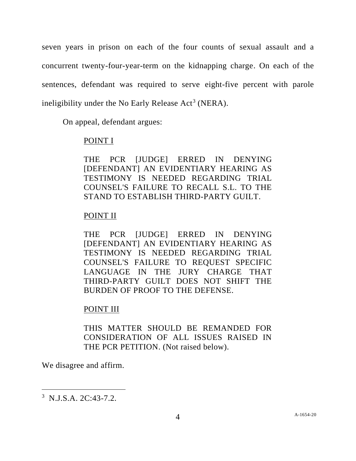seven years in prison on each of the four counts of sexual assault and a concurrent twenty-four-year-term on the kidnapping charge. On each of the sentences, defendant was required to serve eight-five percent with parole ineligibility under the No Early Release  $Act<sup>3</sup>$  (NERA).

On appeal, defendant argues:

### POINT I

THE PCR [JUDGE] ERRED IN DENYING [DEFENDANT] AN EVIDENTIARY HEARING AS TESTIMONY IS NEEDED REGARDING TRIAL COUNSEL'S FAILURE TO RECALL S.L. TO THE STAND TO ESTABLISH THIRD-PARTY GUILT.

# POINT II

THE PCR [JUDGE] ERRED IN DENYING [DEFENDANT] AN EVIDENTIARY HEARING AS TESTIMONY IS NEEDED REGARDING TRIAL COUNSEL'S FAILURE TO REQUEST SPECIFIC LANGUAGE IN THE JURY CHARGE THAT THIRD-PARTY GUILT DOES NOT SHIFT THE BURDEN OF PROOF TO THE DEFENSE.

# POINT III

THIS MATTER SHOULD BE REMANDED FOR CONSIDERATION OF ALL ISSUES RAISED IN THE PCR PETITION. (Not raised below).

We disagree and affirm.

<sup>&</sup>lt;sup>3</sup> N.J.S.A. 2C:43-7.2.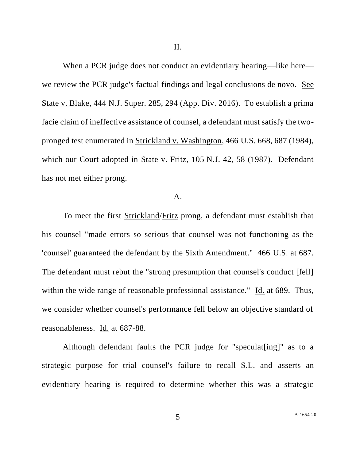II.

When a PCR judge does not conduct an evidentiary hearing—like here we review the PCR judge's factual findings and legal conclusions de novo. See State v. Blake, 444 N.J. Super. 285, 294 (App. Div. 2016). To establish a prima facie claim of ineffective assistance of counsel, a defendant must satisfy the twopronged test enumerated in Strickland v. Washington, 466 U.S. 668, 687 (1984), which our Court adopted in State v. Fritz, 105 N.J. 42, 58 (1987). Defendant has not met either prong.

#### A.

To meet the first Strickland/Fritz prong, a defendant must establish that his counsel "made errors so serious that counsel was not functioning as the 'counsel' guaranteed the defendant by the Sixth Amendment." 466 U.S. at 687. The defendant must rebut the "strong presumption that counsel's conduct [fell] within the wide range of reasonable professional assistance." Id. at 689. Thus, we consider whether counsel's performance fell below an objective standard of reasonableness. Id. at 687-88.

Although defendant faults the PCR judge for "speculat [ing]" as to a strategic purpose for trial counsel's failure to recall S.L. and asserts an evidentiary hearing is required to determine whether this was a strategic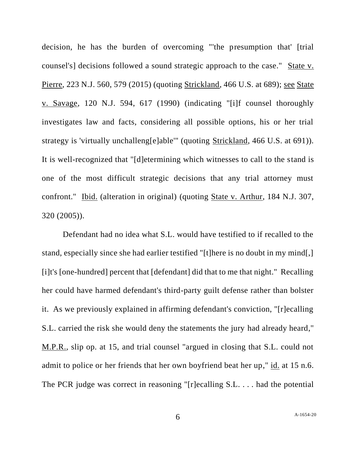decision, he has the burden of overcoming "'the presumption that' [trial counsel's] decisions followed a sound strategic approach to the case." State v. Pierre, 223 N.J. 560, 579 (2015) (quoting Strickland, 466 U.S. at 689); see State v. Savage, 120 N.J. 594, 617 (1990) (indicating "[i]f counsel thoroughly investigates law and facts, considering all possible options, his or her trial strategy is 'virtually unchalleng[e]able'" (quoting Strickland, 466 U.S. at 691)). It is well-recognized that "[d]etermining which witnesses to call to the stand is one of the most difficult strategic decisions that any trial attorney must confront." Ibid. (alteration in original) (quoting State v. Arthur, 184 N.J. 307, 320 (2005)).

Defendant had no idea what S.L. would have testified to if recalled to the stand, especially since she had earlier testified "[t]here is no doubt in my mind[,] [i]t's [one-hundred] percent that [defendant] did that to me that night." Recalling her could have harmed defendant's third-party guilt defense rather than bolster it. As we previously explained in affirming defendant's conviction, "[r]ecalling S.L. carried the risk she would deny the statements the jury had already heard," M.P.R., slip op. at 15, and trial counsel "argued in closing that S.L. could not admit to police or her friends that her own boyfriend beat her up," id. at 15 n.6. The PCR judge was correct in reasoning "[r]ecalling S.L. . . . had the potential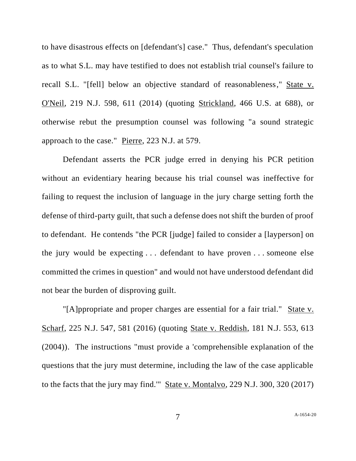to have disastrous effects on [defendant's] case." Thus, defendant's speculation as to what S.L. may have testified to does not establish trial counsel's failure to recall S.L. "[fell] below an objective standard of reasonableness," State v. O'Neil, 219 N.J. 598, 611 (2014) (quoting Strickland, 466 U.S. at 688), or otherwise rebut the presumption counsel was following "a sound strategic approach to the case." Pierre, 223 N.J. at 579.

Defendant asserts the PCR judge erred in denying his PCR petition without an evidentiary hearing because his trial counsel was ineffective for failing to request the inclusion of language in the jury charge setting forth the defense of third-party guilt, that such a defense does not shift the burden of proof to defendant. He contends "the PCR [judge] failed to consider a [layperson] on the jury would be expecting . . . defendant to have proven . . . someone else committed the crimes in question" and would not have understood defendant did not bear the burden of disproving guilt.

"[A]ppropriate and proper charges are essential for a fair trial." State v. Scharf, 225 N.J. 547, 581 (2016) (quoting State v. Reddish, 181 N.J. 553, 613 (2004)). The instructions "must provide a 'comprehensible explanation of the questions that the jury must determine, including the law of the case applicable to the facts that the jury may find.'" State v. Montalvo, 229 N.J. 300, 320 (2017)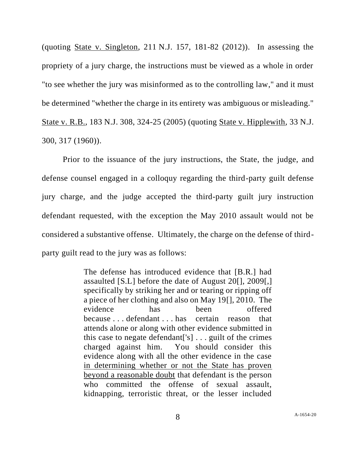(quoting State v. Singleton, 211 N.J. 157, 181-82 (2012)). In assessing the propriety of a jury charge, the instructions must be viewed as a whole in order "to see whether the jury was misinformed as to the controlling law," and it must be determined "whether the charge in its entirety was ambiguous or misleading." State v. R.B., 183 N.J. 308, 324-25 (2005) (quoting State v. Hipplewith, 33 N.J. 300, 317 (1960)).

Prior to the issuance of the jury instructions, the State, the judge, and defense counsel engaged in a colloquy regarding the third-party guilt defense jury charge, and the judge accepted the third-party guilt jury instruction defendant requested, with the exception the May 2010 assault would not be considered a substantive offense. Ultimately, the charge on the defense of thirdparty guilt read to the jury was as follows:

> The defense has introduced evidence that [B.R.] had assaulted [S.L] before the date of August 20[], 2009[,] specifically by striking her and or tearing or ripping off a piece of her clothing and also on May 19[], 2010. The evidence has been offered because . . . defendant . . . has certain reason that attends alone or along with other evidence submitted in this case to negate defendant['s] . . . guilt of the crimes charged against him. You should consider this evidence along with all the other evidence in the case in determining whether or not the State has proven beyond a reasonable doubt that defendant is the person who committed the offense of sexual assault, kidnapping, terroristic threat, or the lesser included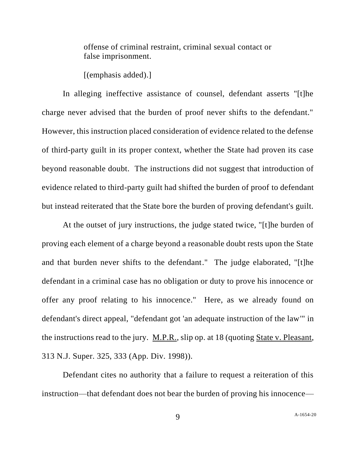offense of criminal restraint, criminal sexual contact or false imprisonment.

[(emphasis added).]

In alleging ineffective assistance of counsel, defendant asserts "[t]he charge never advised that the burden of proof never shifts to the defendant." However, this instruction placed consideration of evidence related to the defense of third-party guilt in its proper context, whether the State had proven its case beyond reasonable doubt. The instructions did not suggest that introduction of evidence related to third-party guilt had shifted the burden of proof to defendant but instead reiterated that the State bore the burden of proving defendant's guilt.

At the outset of jury instructions, the judge stated twice, "[t]he burden of proving each element of a charge beyond a reasonable doubt rests upon the State and that burden never shifts to the defendant." The judge elaborated, "[t]he defendant in a criminal case has no obligation or duty to prove his innocence or offer any proof relating to his innocence." Here, as we already found on defendant's direct appeal, "defendant got 'an adequate instruction of the law'" in the instructions read to the jury. M.P.R., slip op. at 18 (quoting State v. Pleasant, 313 N.J. Super. 325, 333 (App. Div. 1998)).

Defendant cites no authority that a failure to request a reiteration of this instruction—that defendant does not bear the burden of proving his innocence—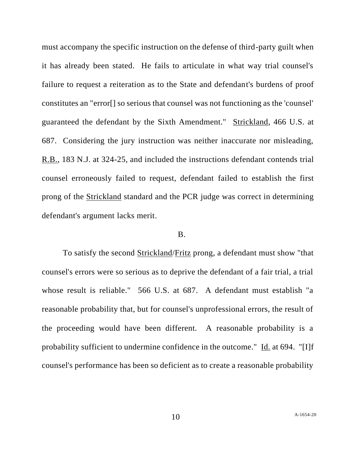must accompany the specific instruction on the defense of third-party guilt when it has already been stated. He fails to articulate in what way trial counsel's failure to request a reiteration as to the State and defendant's burdens of proof constitutes an "error[] so serious that counsel was not functioning as the 'counsel' guaranteed the defendant by the Sixth Amendment." Strickland, 466 U.S. at 687. Considering the jury instruction was neither inaccurate nor misleading, R.B., 183 N.J. at 324-25, and included the instructions defendant contends trial counsel erroneously failed to request, defendant failed to establish the first prong of the Strickland standard and the PCR judge was correct in determining defendant's argument lacks merit.

### B.

To satisfy the second Strickland/Fritz prong, a defendant must show "that counsel's errors were so serious as to deprive the defendant of a fair trial, a trial whose result is reliable." 566 U.S. at 687. A defendant must establish "a reasonable probability that, but for counsel's unprofessional errors, the result of the proceeding would have been different. A reasonable probability is a probability sufficient to undermine confidence in the outcome." Id. at 694. "[I]f counsel's performance has been so deficient as to create a reasonable probability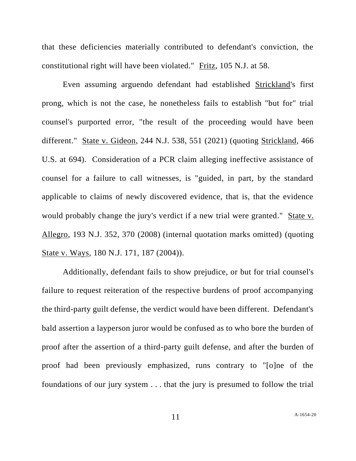that these deficiencies materially contributed to defendant's conviction, the constitutional right will have been violated." Fritz, 105 N.J. at 58.

Even assuming arguendo defendant had established Strickland's first prong, which is not the case, he nonetheless fails to establish "but for" trial counsel's purported error, "the result of the proceeding would have been different." State v. Gideon, 244 N.J. 538, 551 (2021) (quoting Strickland, 466 U.S. at 694). Consideration of a PCR claim alleging ineffective assistance of counsel for a failure to call witnesses, is "guided, in part, by the standard applicable to claims of newly discovered evidence, that is, that the evidence would probably change the jury's verdict if a new trial were granted." State v. Allegro, 193 N.J. 352, 370 (2008) (internal quotation marks omitted) (quoting State v. Ways, 180 N.J. 171, 187 (2004)).

Additionally, defendant fails to show prejudice, or but for trial counsel's failure to request reiteration of the respective burdens of proof accompanying the third-party guilt defense, the verdict would have been different. Defendant's bald assertion a layperson juror would be confused as to who bore the burden of proof after the assertion of a third-party guilt defense, and after the burden of proof had been previously emphasized, runs contrary to "[o]ne of the foundations of our jury system . . . that the jury is presumed to follow the trial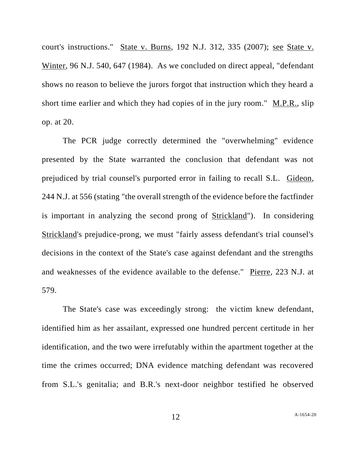court's instructions." State v. Burns, 192 N.J. 312, 335 (2007); see State v. Winter, 96 N.J. 540, 647 (1984). As we concluded on direct appeal, "defendant shows no reason to believe the jurors forgot that instruction which they heard a short time earlier and which they had copies of in the jury room." M.P.R., slip op. at 20.

The PCR judge correctly determined the "overwhelming" evidence presented by the State warranted the conclusion that defendant was not prejudiced by trial counsel's purported error in failing to recall S.L. Gideon, 244 N.J. at 556 (stating "the overall strength of the evidence before the factfinder is important in analyzing the second prong of Strickland"). In considering Strickland's prejudice-prong, we must "fairly assess defendant's trial counsel's decisions in the context of the State's case against defendant and the strengths and weaknesses of the evidence available to the defense." Pierre, 223 N.J. at 579.

The State's case was exceedingly strong: the victim knew defendant, identified him as her assailant, expressed one hundred percent certitude in her identification, and the two were irrefutably within the apartment together at the time the crimes occurred; DNA evidence matching defendant was recovered from S.L.'s genitalia; and B.R.'s next-door neighbor testified he observed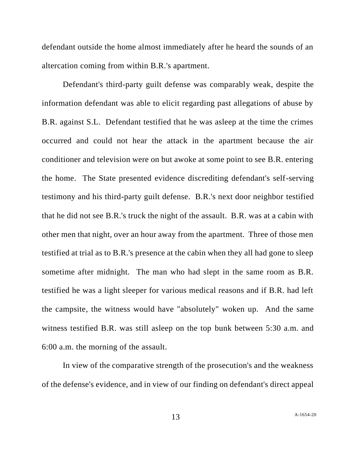defendant outside the home almost immediately after he heard the sounds of an altercation coming from within B.R.'s apartment.

Defendant's third-party guilt defense was comparably weak, despite the information defendant was able to elicit regarding past allegations of abuse by B.R. against S.L. Defendant testified that he was asleep at the time the crimes occurred and could not hear the attack in the apartment because the air conditioner and television were on but awoke at some point to see B.R. entering the home. The State presented evidence discrediting defendant's self-serving testimony and his third-party guilt defense. B.R.'s next door neighbor testified that he did not see B.R.'s truck the night of the assault. B.R. was at a cabin with other men that night, over an hour away from the apartment. Three of those men testified at trial as to B.R.'s presence at the cabin when they all had gone to sleep sometime after midnight. The man who had slept in the same room as B.R. testified he was a light sleeper for various medical reasons and if B.R. had left the campsite, the witness would have "absolutely" woken up. And the same witness testified B.R. was still asleep on the top bunk between 5:30 a.m. and 6:00 a.m. the morning of the assault.

In view of the comparative strength of the prosecution's and the weakness of the defense's evidence, and in view of our finding on defendant's direct appeal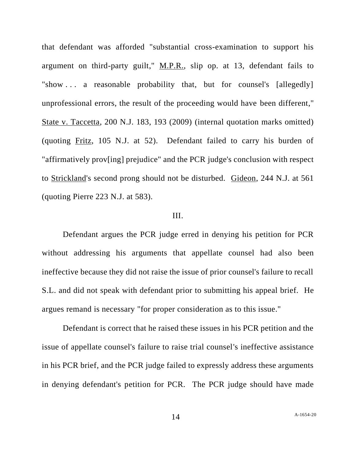that defendant was afforded "substantial cross-examination to support his argument on third-party guilt," M.P.R., slip op. at 13, defendant fails to "show ... a reasonable probability that, but for counsel's [allegedly] unprofessional errors, the result of the proceeding would have been different," State v. Taccetta, 200 N.J. 183, 193 (2009) (internal quotation marks omitted) (quoting Fritz, 105 N.J. at 52). Defendant failed to carry his burden of "affirmatively prov[ing] prejudice" and the PCR judge's conclusion with respect to Strickland's second prong should not be disturbed. Gideon, 244 N.J. at 561 (quoting Pierre 223 N.J. at 583).

### III.

Defendant argues the PCR judge erred in denying his petition for PCR without addressing his arguments that appellate counsel had also been ineffective because they did not raise the issue of prior counsel's failure to recall S.L. and did not speak with defendant prior to submitting his appeal brief. He argues remand is necessary "for proper consideration as to this issue."

Defendant is correct that he raised these issues in his PCR petition and the issue of appellate counsel's failure to raise trial counsel's ineffective assistance in his PCR brief, and the PCR judge failed to expressly address these arguments in denying defendant's petition for PCR. The PCR judge should have made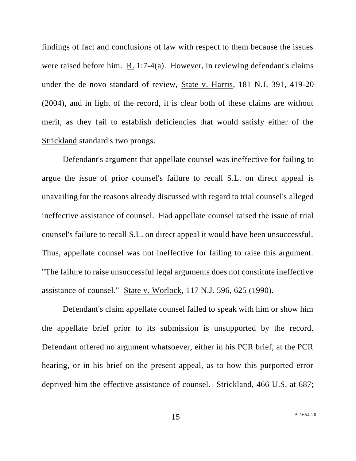findings of fact and conclusions of law with respect to them because the issues were raised before him. R. 1:7-4(a). However, in reviewing defendant's claims under the de novo standard of review, State v. Harris, 181 N.J. 391, 419-20 (2004), and in light of the record, it is clear both of these claims are without merit, as they fail to establish deficiencies that would satisfy either of the Strickland standard's two prongs.

Defendant's argument that appellate counsel was ineffective for failing to argue the issue of prior counsel's failure to recall S.L. on direct appeal is unavailing for the reasons already discussed with regard to trial counsel's alleged ineffective assistance of counsel. Had appellate counsel raised the issue of trial counsel's failure to recall S.L. on direct appeal it would have been unsuccessful. Thus, appellate counsel was not ineffective for failing to raise this argument. "The failure to raise unsuccessful legal arguments does not constitute ineffective assistance of counsel." State v. Worlock, 117 N.J. 596, 625 (1990).

Defendant's claim appellate counsel failed to speak with him or show him the appellate brief prior to its submission is unsupported by the record. Defendant offered no argument whatsoever, either in his PCR brief, at the PCR hearing, or in his brief on the present appeal, as to how this purported error deprived him the effective assistance of counsel. Strickland, 466 U.S. at 687;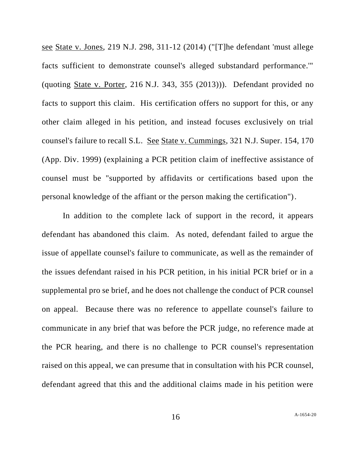see State v. Jones, 219 N.J. 298, 311-12 (2014) ("[T]he defendant 'must allege facts sufficient to demonstrate counsel's alleged substandard performance.'" (quoting State v. Porter, 216 N.J. 343, 355 (2013))). Defendant provided no facts to support this claim. His certification offers no support for this, or any other claim alleged in his petition, and instead focuses exclusively on trial counsel's failure to recall S.L. See State v. Cummings, 321 N.J. Super. 154, 170 (App. Div. 1999) (explaining a PCR petition claim of ineffective assistance of counsel must be "supported by affidavits or certifications based upon the personal knowledge of the affiant or the person making the certification").

In addition to the complete lack of support in the record, it appears defendant has abandoned this claim. As noted, defendant failed to argue the issue of appellate counsel's failure to communicate, as well as the remainder of the issues defendant raised in his PCR petition, in his initial PCR brief or in a supplemental pro se brief, and he does not challenge the conduct of PCR counsel on appeal. Because there was no reference to appellate counsel's failure to communicate in any brief that was before the PCR judge, no reference made at the PCR hearing, and there is no challenge to PCR counsel's representation raised on this appeal, we can presume that in consultation with his PCR counsel, defendant agreed that this and the additional claims made in his petition were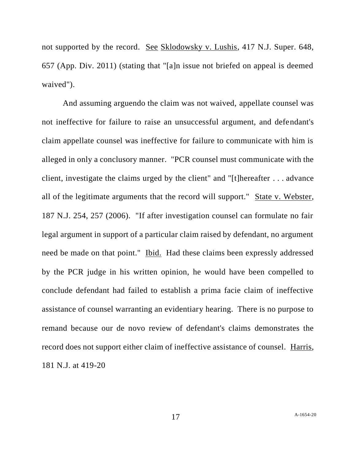not supported by the record. See Sklodowsky v. Lushis, 417 N.J. Super. 648, 657 (App. Div. 2011) (stating that "[a]n issue not briefed on appeal is deemed waived").

And assuming arguendo the claim was not waived, appellate counsel was not ineffective for failure to raise an unsuccessful argument, and defendant's claim appellate counsel was ineffective for failure to communicate with him is alleged in only a conclusory manner. "PCR counsel must communicate with the client, investigate the claims urged by the client" and "[t]hereafter . . . advance all of the legitimate arguments that the record will support." State v. Webster, 187 N.J. 254, 257 (2006). "If after investigation counsel can formulate no fair legal argument in support of a particular claim raised by defendant, no argument need be made on that point." Ibid. Had these claims been expressly addressed by the PCR judge in his written opinion, he would have been compelled to conclude defendant had failed to establish a prima facie claim of ineffective assistance of counsel warranting an evidentiary hearing. There is no purpose to remand because our de novo review of defendant's claims demonstrates the record does not support either claim of ineffective assistance of counsel. Harris, 181 N.J. at 419-20